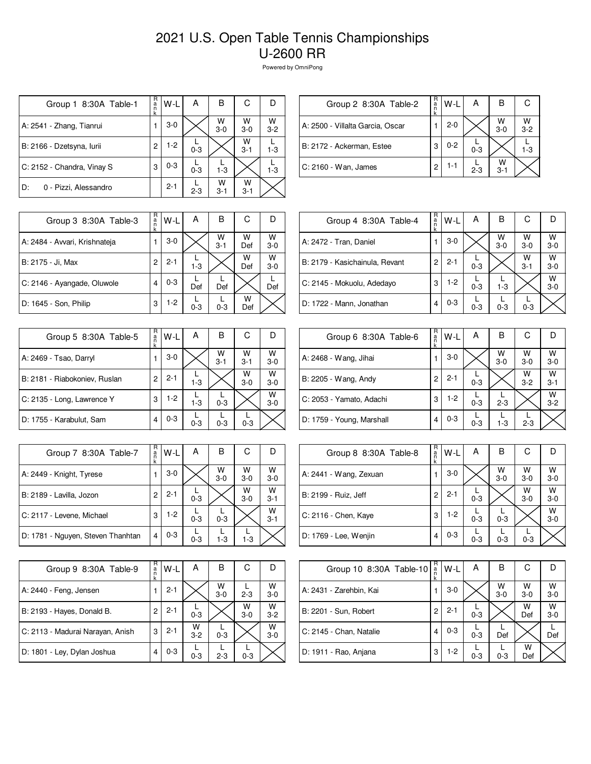## 2021 U.S. Open Table Tennis Championships U-2600 RR

Powered by OmniPong

| Group 1 8:30A Table-1       | R<br>a<br>n<br>k | W-L     | А       | в            | С            | Ð            |
|-----------------------------|------------------|---------|---------|--------------|--------------|--------------|
| A: 2541 - Zhang, Tianrui    |                  | $3-0$   |         | W<br>$3-0$   | W<br>$3-0$   | W<br>$3 - 2$ |
| B: 2166 - Dzetsyna, Iurii   | 2                | $1-2$   | $0 - 3$ |              | W<br>$3 - 1$ | 1-3          |
| C: 2152 - Chandra, Vinay S  | 3                | $0 - 3$ | $0 - 3$ | $1 - 3$      |              | $1 - 3$      |
| 0 - Pizzi, Alessandro<br>D: |                  | $2 - 1$ | $2 - 3$ | w<br>$3 - 1$ | w<br>$3 - 1$ |              |

| Group 2 8:30A Table-2            | R<br>a<br>n | W-L     | А       | в            |            |
|----------------------------------|-------------|---------|---------|--------------|------------|
| A: 2500 - Villalta Garcia, Oscar |             | $2 - 0$ |         | w<br>$3-0$   | W<br>$3-2$ |
| B: 2172 - Ackerman, Estee        | З           | $0 - 2$ | $0 - 3$ |              | $1-3$      |
| C: 2160 - Wan, James             | 2           | 1-1     | $2 - 3$ | W<br>$3 - 1$ |            |

| Group 3 8:30A Table-3         | R<br>a<br>n<br>k | W-L     | А       | в            | С        |              |
|-------------------------------|------------------|---------|---------|--------------|----------|--------------|
| A: 2484 - Avvari, Krishnateja |                  | $3-0$   |         | W<br>$3 - 1$ | w<br>Def | w<br>$3 - 0$ |
| B: 2175 - Ji, Max             | 2                | $2 - 1$ | $1-3$   |              | W<br>Def | W<br>$3-0$   |
| C: 2146 - Ayangade, Oluwole   | 4                | $0 - 3$ | Def     | Def          |          | Def          |
| D: 1645 - Son, Philip         | 3                | $1-2$   | $0 - 3$ | $0 - 3$      | w<br>Def |              |

| Group 5 8:30A Table-5         | R<br>a<br>n<br>k | W-L     | Α       | в            | С            |              |
|-------------------------------|------------------|---------|---------|--------------|--------------|--------------|
| A: 2469 - Tsao, Darryl        |                  | $3-0$   |         | W<br>$3 - 1$ | W<br>$3 - 1$ | W<br>$3-0$   |
| B: 2181 - Riabokoniev, Ruslan | 2                | $2 - 1$ | $1 - 3$ |              | W<br>$3-0$   | W<br>$3-0$   |
| C: 2135 - Long, Lawrence Y    | 3                | $1-2$   | $1 - 3$ | $0 - 3$      |              | W<br>$3 - 0$ |
| D: 1755 - Karabulut, Sam      | 4                | $0 - 3$ | $0 - 3$ | $0 - 3$      | $0 - 3$      |              |

| Group 7 8:30A Table-7             | R<br>a<br>n<br>k | W-L     | А       | В          | С            |              |
|-----------------------------------|------------------|---------|---------|------------|--------------|--------------|
| A: 2449 - Knight, Tyrese          |                  | $3-0$   |         | W<br>$3-0$ | w<br>$3-0$   | W<br>$3-0$   |
| B: 2189 - Lavilla, Jozon          | 2                | $2 - 1$ | $0 - 3$ |            | W<br>$3 - 0$ | W<br>$3 - 1$ |
| C: 2117 - Levene, Michael         | 3                | $1-2$   | $0 - 3$ | $0 - 3$    |              | W<br>$3 - 1$ |
| D: 1781 - Nguyen, Steven Thanhtan | 4                | $0 - 3$ | $0 - 3$ | $1 - 3$    | $1-3$        |              |

| Group 9 8:30A Table-9            | R<br>a<br>n<br>k | W-L     | А            | в          | С          |              |
|----------------------------------|------------------|---------|--------------|------------|------------|--------------|
| A: 2440 - Feng, Jensen           |                  | $2 - 1$ |              | W<br>$3-0$ | $2 - 3$    | W<br>$3-0$   |
| B: 2193 - Hayes, Donald B.       | 2                | $2 - 1$ | $0 - 3$      |            | w<br>$3-0$ | W<br>$3 - 2$ |
| C: 2113 - Madurai Narayan, Anish | 3                | $2 - 1$ | W<br>$3 - 2$ | $0 - 3$    |            | W<br>$3-0$   |
| D: 1801 - Ley, Dylan Joshua      | 4                | $0 - 3$ | $0 - 3$      | $2 - 3$    | $0 - 3$    |              |

| Group 4 8:30A Table-4          | R<br>a<br>n<br>k | $W-L$   | A       | в          | С            |              |
|--------------------------------|------------------|---------|---------|------------|--------------|--------------|
| A: 2472 - Tran, Daniel         |                  | $3-0$   |         | W<br>$3-0$ | W<br>$3-0$   | w<br>$3-0$   |
| B: 2179 - Kasichainula, Revant | 2                | $2 - 1$ | $0 - 3$ |            | w<br>$3 - 1$ | w<br>$3-0$   |
| C: 2145 - Mokuolu, Adedayo     | 3                | $1-2$   | $0 - 3$ | $1 - 3$    |              | W<br>$3 - 0$ |
| D: 1722 - Mann, Jonathan       | 4                | $0 - 3$ | $0 - 3$ | $0 - 3$    | $0 - 3$      |              |

| Group 6 8:30A Table-6     | R<br>a<br>n | W-L     | A       | В          | С            |              |
|---------------------------|-------------|---------|---------|------------|--------------|--------------|
| A: 2468 - Wang, Jihai     |             | $3-0$   |         | W<br>$3-0$ | W<br>$3-0$   | W<br>$3-0$   |
| B: 2205 - Wang, Andy      | 2           | $2 - 1$ | $0 - 3$ |            | W<br>$3 - 2$ | W<br>$3 - 1$ |
| C: 2053 - Yamato, Adachi  | 3           | 1-2     | $0 - 3$ | $2 - 3$    |              | W<br>$3 - 2$ |
| D: 1759 - Young, Marshall | 4           | $0 - 3$ | $0 - 3$ | $1 - 3$    | $2 - 3$      |              |

| Group 8 8:30A Table-8  | R<br>$\frac{a}{n}$ | W-L     | А       | B                  | С            |              |
|------------------------|--------------------|---------|---------|--------------------|--------------|--------------|
| A: 2441 - Wang, Zexuan |                    | $3-0$   |         | $W$ <sub>3-0</sub> | W<br>$3 - 0$ | W<br>$3 - 0$ |
| B: 2199 - Ruiz, Jeff   | 2                  | $2 - 1$ | $0 - 3$ |                    | W<br>$3-0$   | W<br>$3 - 0$ |
| C: 2116 - Chen, Kaye   | 3                  | $1-2$   | $0 - 3$ | $0 - 3$            |              | W<br>$3-0$   |
| D: 1769 - Lee, Wenjin  | 4                  | $0 - 3$ | $0 - 3$ | $0 - 3$            | $0 - 3$      |              |

| Group 10 8:30A Table-10 | R<br>a | W-L     | А       | В          | С          |              |
|-------------------------|--------|---------|---------|------------|------------|--------------|
| A: 2431 - Zarehbin, Kai |        | $3-0$   |         | $W$<br>3-0 | W<br>$3-0$ | $W$<br>3-0   |
| B: 2201 - Sun, Robert   | 2      | $2 - 1$ | $0 - 3$ |            | W<br>Def   | W<br>$3 - 0$ |
| C: 2145 - Chan, Natalie | 4      | $0 - 3$ | $0 - 3$ | Def        |            | Def          |
| D: 1911 - Rao, Anjana   | 3      | $1-2$   | $0 - 3$ | $0 - 3$    | W<br>Def   |              |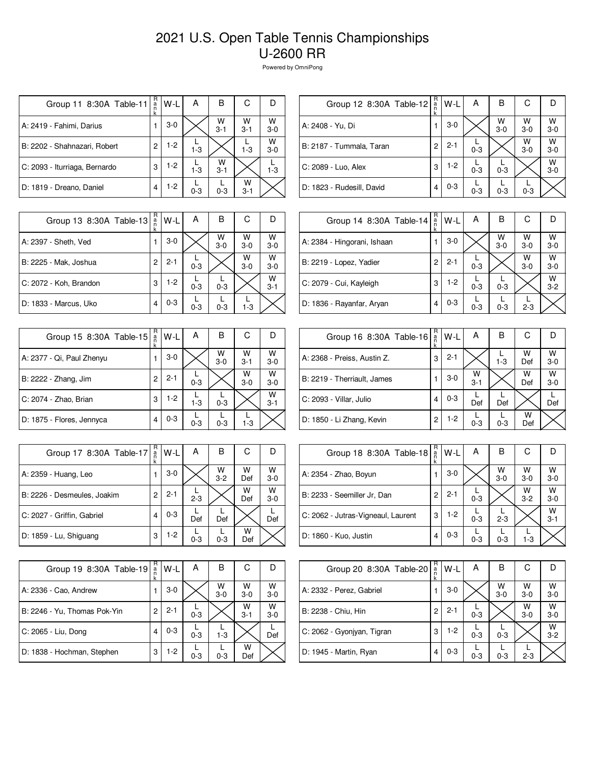## 2021 U.S. Open Table Tennis Championships U-2600 RR

Powered by OmniPong

| Group 11 8:30A Table-11       | R<br>$\frac{a}{n}$<br>k | W-L   | А       | в            | C            |            |
|-------------------------------|-------------------------|-------|---------|--------------|--------------|------------|
| A: 2419 - Fahimi, Darius      |                         | $3-0$ |         | W<br>$3 - 1$ | W<br>$3 - 1$ | W<br>$3-0$ |
| B: 2202 - Shahnazari, Robert  | $\overline{c}$          | $1-2$ | $1-3$   |              | $1 - 3$      | W<br>$3-0$ |
| C: 2093 - Iturriaga, Bernardo | 3                       | $1-2$ | $1-3$   | W<br>$3 - 1$ |              | $1 - 3$    |
| D: 1819 - Dreano, Daniel      | 4                       | $1-2$ | $0 - 3$ | $0 - 3$      | w<br>$3 - 1$ |            |

| R<br>$\frac{a}{n}$<br>k | W-L                     | А       | в            | С          |              |
|-------------------------|-------------------------|---------|--------------|------------|--------------|
|                         | $3-0$                   |         | W<br>$3 - 0$ | w<br>$3-0$ | W<br>$3 - 0$ |
| 2                       | $2 - 1$                 | $0 - 3$ |              | W<br>$3-0$ | W<br>$3-0$   |
| 3                       | $1-2$                   | $0 - 3$ | $0 - 3$      |            | W<br>$3 - 0$ |
| 4                       | $0 - 3$                 | $0 - 3$ | $0 - 3$      | $0 - 3$    |              |
|                         | Group 12 8:30A Table-12 |         |              |            |              |

| Group 13 8:30A Table-13 | R<br>a<br>n<br>k | W-L     | А       | в            | С            |              |
|-------------------------|------------------|---------|---------|--------------|--------------|--------------|
| A: 2397 - Sheth, Ved    |                  | $3-0$   |         | W<br>$3 - 0$ | W<br>$3 - 0$ | W<br>$3 - 0$ |
| B: 2225 - Mak, Joshua   | 2                | $2 - 1$ | $0 - 3$ |              | W<br>$3-0$   | W<br>$3 - 0$ |
| C: 2072 - Koh, Brandon  | 3                | $1-2$   | $0 - 3$ | $0 - 3$      |              | W<br>$3 - 1$ |
| D: 1833 - Marcus, Uko   | 4                | $0 - 3$ | $0 - 3$ | $0 - 3$      | $1-3$        |              |

| Group 15 8:30A Table-15   | R<br>ä<br>k | W-L     | А       | в          | С            |              |
|---------------------------|-------------|---------|---------|------------|--------------|--------------|
| A: 2377 - Qi, Paul Zhenyu |             | $3-0$   |         | W<br>$3-0$ | W<br>$3 - 1$ | W<br>$3-0$   |
| B: 2222 - Zhang, Jim      | 2           | $2 - 1$ | $0 - 3$ |            | W<br>$3-0$   | W<br>$3-0$   |
| C: 2074 - Zhao, Brian     | 3           | $1-2$   | $1 - 3$ | $0 - 3$    |              | W<br>$3 - 1$ |
| D: 1875 - Flores, Jennyca | 4           | $0 - 3$ | $0 - 3$ | $0 - 3$    | $1-3$        |              |

| Group 17 8:30A Table-17     | R<br>$\frac{a}{n}$<br>k | W-L     | А       | в            | C        | D            |
|-----------------------------|-------------------------|---------|---------|--------------|----------|--------------|
| A: 2359 - Huang, Leo        |                         | $3-0$   |         | W<br>$3 - 2$ | W<br>Def | W<br>$3 - 0$ |
| B: 2226 - Desmeules, Joakim | 2                       | $2 - 1$ | $2 - 3$ |              | W<br>Def | w<br>$3-0$   |
| C: 2027 - Griffin, Gabriel  | 4                       | $0 - 3$ | Def     | Def          |          | Def          |
| D: 1859 - Lu, Shiguang      | 3                       | $1-2$   | $0 - 3$ | $0 - 3$      | w<br>Def |              |

| Group 19 8:30A Table-19      | R<br>a | W-L     | А       | в          | С            |            |
|------------------------------|--------|---------|---------|------------|--------------|------------|
| A: 2336 - Cao, Andrew        |        | $3-0$   |         | w<br>$3-0$ | W<br>$3-0$   | w<br>$3-0$ |
| B: 2246 - Yu, Thomas Pok-Yin | 2      | $2 - 1$ | $0 - 3$ |            | w<br>$3 - 1$ | W<br>$3-0$ |
| C: 2065 - Liu, Dong          |        | $0 - 3$ | $0 - 3$ | $1 - 3$    |              | Def        |
| D: 1838 - Hochman, Stephen   | 3      | $1-2$   | $0 - 3$ | $0 - 3$    | w<br>Def     |            |

| Group 14 8:30A Table-14     | R<br>a<br>n<br>k | W-L     | А       | в            | С          |                    |
|-----------------------------|------------------|---------|---------|--------------|------------|--------------------|
| A: 2384 - Hingorani, Ishaan |                  | $3-0$   |         | W<br>$3 - 0$ | W<br>$3-0$ | W<br>$3-0$         |
| B: 2219 - Lopez, Yadier     | 2                | $2 - 1$ | $0 - 3$ |              | W<br>$3-0$ | W<br>$3-0$         |
| C: 2079 - Cui, Kayleigh     | 3                | $1-2$   | $0 - 3$ | $0 - 3$      |            | $W$ <sub>3-2</sub> |
| D: 1836 - Rayanfar, Aryan   | 4                | $0 - 3$ | $0 - 3$ | $0 - 3$      | $2 - 3$    |                    |

| Group 16 8:30A Table-16     | R<br>a<br>n | W-L     | А            | в       | С        |            |
|-----------------------------|-------------|---------|--------------|---------|----------|------------|
| A: 2368 - Preiss, Austin Z. | 3           | $2 - 1$ |              | $1 - 3$ | W<br>Def | w<br>$3-0$ |
| B: 2219 - Therriault, James |             | 3-0     | W<br>$3 - 1$ |         | W<br>Def | W<br>$3-0$ |
| C: 2093 - Villar, Julio     | 4           | $0 - 3$ | Def          | Def     |          | Def        |
| D: 1850 - Li Zhang, Kevin   | 2           | $1-2$   | $0 - 3$      | $0 - 3$ | W<br>Def |            |

| Group 18 8:30A Table-18            | R<br>$\frac{a}{n}$ | W-L     | А       | В            | С            |              |
|------------------------------------|--------------------|---------|---------|--------------|--------------|--------------|
| A: 2354 - Zhao, Boyun              |                    | $3-0$   |         | W<br>$3 - 0$ | W<br>$3 - 0$ | w<br>$3 - 0$ |
| B: 2233 - Seemiller Jr, Dan        | 2                  | $2 - 1$ | $0 - 3$ |              | W<br>$3 - 2$ | W<br>$3 - 0$ |
| C: 2062 - Jutras-Vigneaul, Laurent | 3                  | 1-2     | $0 - 3$ | $2 - 3$      |              | W<br>$3 - 1$ |
| D: 1860 - Kuo, Justin              | 4                  | $0 - 3$ | $0 - 3$ | $0 - 3$      | $1 - 3$      |              |

| Group 20 8:30A Table-20    | R<br>a | W-L     | А       | В          | С          |                    |
|----------------------------|--------|---------|---------|------------|------------|--------------------|
| A: 2332 - Perez, Gabriel   |        | $3-0$   |         | $W$<br>3-0 | W<br>$3-0$ | W<br>$3-0$         |
| B: 2238 - Chiu, Hin        | 2      | $2 - 1$ | $0 - 3$ |            | W<br>$3-0$ | W<br>$3 - 0$       |
| C: 2062 - Gyonjyan, Tigran | 3      | $1-2$   | $0 - 3$ | $0 - 3$    |            | $W$ <sub>3-2</sub> |
| D: 1945 - Martin, Ryan     | 4      | $0 - 3$ | $0 - 3$ | $0 - 3$    | $2 - 3$    |                    |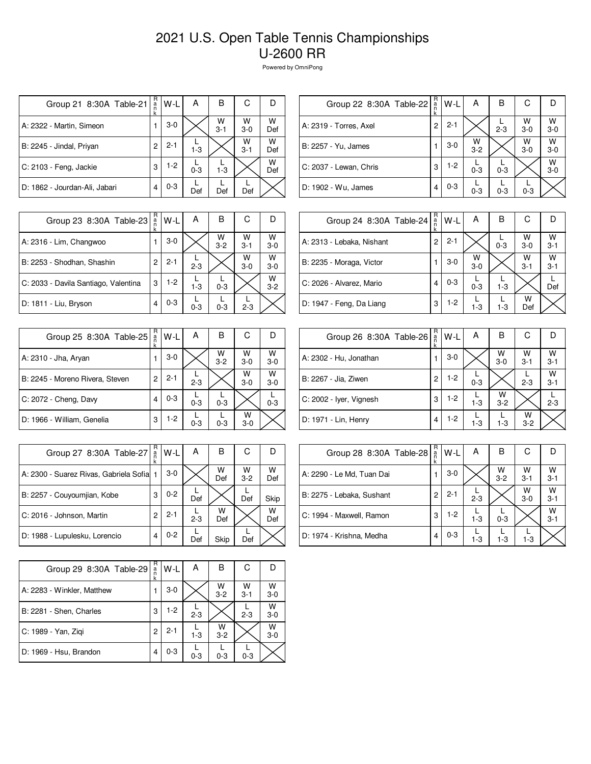## 2021 U.S. Open Table Tennis Championships U-2600 RR

Powered by OmniPong

| Group 21 8:30A Table-21       | R<br>a<br>n<br>k | W-L     | А       | в            | С            |          |
|-------------------------------|------------------|---------|---------|--------------|--------------|----------|
| A: 2322 - Martin, Simeon      |                  | $3-0$   |         | W<br>$3 - 1$ | W<br>$3-0$   | W<br>Def |
| B: 2245 - Jindal, Priyan      | 2                | $2 - 1$ | $1-3$   |              | W<br>$3 - 1$ | w<br>Def |
| C: 2103 - Feng, Jackie        | 3                | $1-2$   | $0 - 3$ | $1-3$        |              | W<br>Def |
| D: 1862 - Jourdan-Ali, Jabari | 4                | $0 - 3$ | Def     | Def          | Def          |          |

| Group 22 8:30A Table-22 | R<br>$\frac{a}{n}$<br>k | W-L     | А            | в       | С          |              |
|-------------------------|-------------------------|---------|--------------|---------|------------|--------------|
| A: 2319 - Torres, Axel  | 2                       | $2 - 1$ |              | $2 - 3$ | w<br>$3-0$ | W<br>$3 - 0$ |
| B: 2257 - Yu, James     |                         | $3-0$   | W<br>$3 - 2$ |         | W<br>$3-0$ | W<br>$3-0$   |
| C: 2037 - Lewan, Chris  | 3                       | $1-2$   | $0 - 3$      | $0 - 3$ |            | W<br>$3 - 0$ |
| D: 1902 - Wu, James     | 4                       | $0 - 3$ | $0 - 3$      | $0 - 3$ | $0 - 3$    |              |

| Group 23 8:30A Table-23              | R<br>$\frac{a}{n}$<br>k | W-L     | Α       | В            | С            |              |
|--------------------------------------|-------------------------|---------|---------|--------------|--------------|--------------|
| A: 2316 - Lim, Changwoo              |                         | $3-0$   |         | W<br>$3 - 2$ | W<br>$3 - 1$ | W<br>$3 - 0$ |
| B: 2253 - Shodhan, Shashin           | $\overline{c}$          | $2 - 1$ | $2 - 3$ |              | W<br>$3-0$   | W<br>$3-0$   |
| C: 2033 - Davila Santiago, Valentina | 3                       | $1-2$   | $1 - 3$ | $0 - 3$      |              | W<br>$3-2$   |
| D: 1811 - Liu, Bryson                | 4                       | $0 - 3$ | $0 - 3$ | $0 - 3$      | $2 - 3$      |              |

| Group 25 8:30A Table-25         | R<br>a<br>k | W-L     | А       | в            | С          |            |
|---------------------------------|-------------|---------|---------|--------------|------------|------------|
| A: 2310 - Jha, Aryan            |             | $3-0$   |         | W<br>$3 - 2$ | W<br>$3-0$ | W<br>$3-0$ |
| B: 2245 - Moreno Rivera, Steven | 2           | $2 - 1$ | $2 - 3$ |              | W<br>$3-0$ | w<br>$3-0$ |
| C: 2072 - Cheng, Davy           | 4           | $0 - 3$ | $0 - 3$ | $0 - 3$      |            | $0 - 3$    |
| D: 1966 - William, Genelia      | 3           | $1-2$   | $0 - 3$ | $0 - 3$      | w<br>$3-0$ |            |

| A: 2313 - Lebaka, Nishant | 2                       | $2 - 1$ |            | $0 - 3$  | W<br>$3-0$   | W<br>$3 - 1$ |
|---------------------------|-------------------------|---------|------------|----------|--------------|--------------|
| B: 2235 - Moraga, Victor  |                         | $3-0$   | W<br>$3-0$ |          | W<br>$3 - 1$ | w<br>$3 - 1$ |
| C: 2026 - Alvarez, Mario  | 4                       | $0 - 3$ | $0 - 3$    | $1 - 3$  |              | Def          |
| D: 1947 - Feng, Da Liang  | 3                       | $1-2$   | $1 - 3$    | $1 - 3$  | w<br>Def     |              |
|                           |                         |         |            |          |              |              |
| Group 26 8:30A Table-26   | R<br>$\frac{a}{n}$<br>k | $W-L$   | А          | в        | С            |              |
|                           |                         |         |            | $\cdots$ | $\cdots$     | .            |

B

C

W

D

Group 24 8:30A Table-24  $\begin{bmatrix} R \\ R \\ R \\ R \end{bmatrix} W - L$  A

| Group 26 8:30A Table-26 | $\frac{\pi}{a}$<br>k | $W-L$ | Α       | B            | C            |                 |
|-------------------------|----------------------|-------|---------|--------------|--------------|-----------------|
| A: 2302 - Hu, Jonathan  |                      | $3-0$ |         | W<br>$3-0$   | W<br>$3 - 1$ | $\frac{W}{3-1}$ |
| B: 2267 - Jia, Ziwen    | 2                    | $1-2$ | $0 - 3$ |              | $2 - 3$      | w<br>$3-1$      |
| C: 2002 - Iyer, Vignesh | 3                    | $1-2$ | $1 - 3$ | W<br>$3 - 2$ |              | $2 - 3$         |
| D: 1971 - Lin, Henry    | 4                    | $1-2$ | $1 - 3$ | $1-3$        | W<br>$3 - 2$ |                 |

| Group 27 8:30A Table-27                   | R<br>$\frac{a}{n}$ | W-L     | А       | в        | С                  | D        |
|-------------------------------------------|--------------------|---------|---------|----------|--------------------|----------|
| A: 2300 - Suarez Rivas, Gabriela Sofial 1 |                    | $3-0$   |         | W<br>Def | $W$ <sub>3-2</sub> | w<br>Def |
| B: 2257 - Couyoumjian, Kobe               | 3                  | $0 - 2$ | Def     |          | Def                | Skip     |
| C: 2016 - Johnson, Martin                 | 2                  | $2 - 1$ | $2 - 3$ | w<br>Def |                    | W<br>Def |
| D: 1988 - Lupulesku, Lorencio             |                    | $0 - 2$ | Def     | Skip     | Def                |          |
|                                           |                    |         |         |          |                    |          |

| Group 28 8:30A Table-28   | R<br>$\frac{a}{n}$<br>k | W-L     | A       | в            | С            | IJ           |
|---------------------------|-------------------------|---------|---------|--------------|--------------|--------------|
| A: 2290 - Le Md, Tuan Dai |                         | 3-0     |         | W<br>$3 - 2$ | W<br>$3 - 1$ | W<br>$3 - 1$ |
| B: 2275 - Lebaka, Sushant | 2                       | $2 - 1$ | $2 - 3$ |              | w<br>$3-0$   | W<br>$3 - 1$ |
| C: 1994 - Maxwell, Ramon  | 3                       | $1-2$   | $1 - 3$ | $0 - 3$      |              | W<br>$3 - 1$ |
| D: 1974 - Krishna, Medha  | 4                       | $0 - 3$ | $1 - 3$ | $1-3$        | $1-3$        |              |

| Group 29 8:30A Table-29    | R<br>a<br>n<br>k | W-L     | А       | в            | С            |              |
|----------------------------|------------------|---------|---------|--------------|--------------|--------------|
| A: 2283 - Winkler, Matthew |                  | $3-0$   |         | W<br>$3 - 2$ | W<br>$3 - 1$ | W<br>$3-0$   |
| B: 2281 - Shen, Charles    | 3                | $1-2$   | $2 - 3$ |              | $2 - 3$      | W<br>$3-0$   |
| C: 1989 - Yan, Zigi        | 2                | $2 - 1$ | $1 - 3$ | w<br>$3 - 2$ |              | W<br>$3 - 0$ |
| D: 1969 - Hsu, Brandon     | 4                | $0 - 3$ | $0 - 3$ | $0 - 3$      | $0 - 3$      |              |